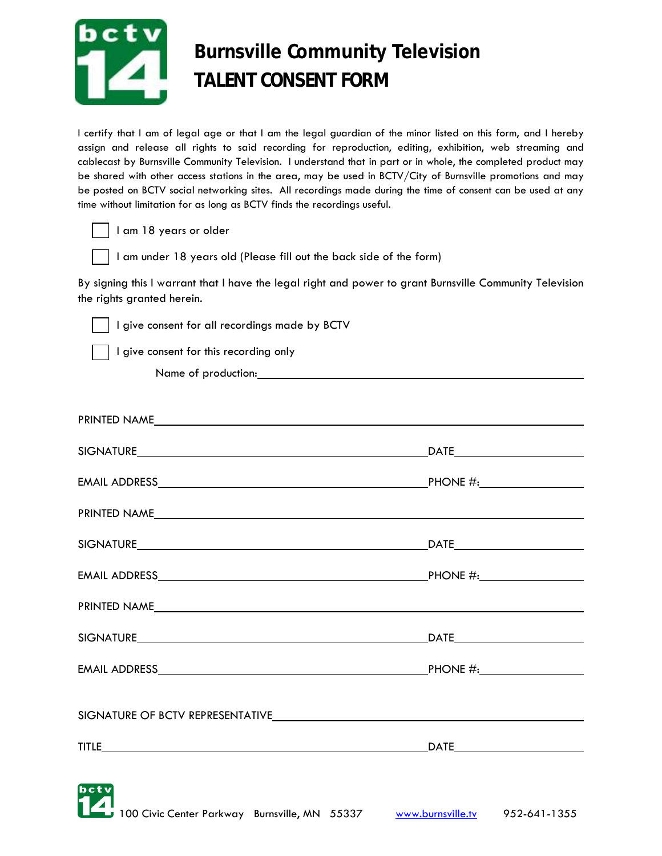

## \ **Burnsville Community Television TALENT CONSENT FORM**

I certify that I am of legal age or that I am the legal guardian of the minor listed on this form, and I hereby assign and release all rights to said recording for reproduction, editing, exhibition, web streaming and cablecast by Burnsville Community Television. I understand that in part or in whole, the completed product may be shared with other access stations in the area, may be used in BCTV/City of Burnsville promotions and may be posted on BCTV social networking sites. All recordings made during the time of consent can be used at any time without limitation for as long as BCTV finds the recordings useful.

I am 18 years or older

I am under 18 years old (Please fill out the back side of the form)

By signing this I warrant that I have the legal right and power to grant Burnsville Community Television the rights granted herein.

I give consent for all recordings made by BCTV

I give consent for this recording only

Name of production:

| PRINTED NAME And the state of the state of the state of the state of the state of the state of the state of the state of the state of the state of the state of the state of the state of the state of the state of the state  |  |
|--------------------------------------------------------------------------------------------------------------------------------------------------------------------------------------------------------------------------------|--|
|                                                                                                                                                                                                                                |  |
|                                                                                                                                                                                                                                |  |
|                                                                                                                                                                                                                                |  |
|                                                                                                                                                                                                                                |  |
|                                                                                                                                                                                                                                |  |
| PRINTED NAME                                                                                                                                                                                                                   |  |
|                                                                                                                                                                                                                                |  |
|                                                                                                                                                                                                                                |  |
| SIGNATURE OF BCTV REPRESENTATIVELED AND CONTROL CONTROL AT A SERIES AND THE SERIES OF BCTV REPRESENTATIVELED AND THE SERIES OF SERIES AND THE SERIES OF SERIES AND THE SERIES OF SERIES AND THE SERIES OF SERIES AND THE SERIE |  |
|                                                                                                                                                                                                                                |  |
| bctv                                                                                                                                                                                                                           |  |